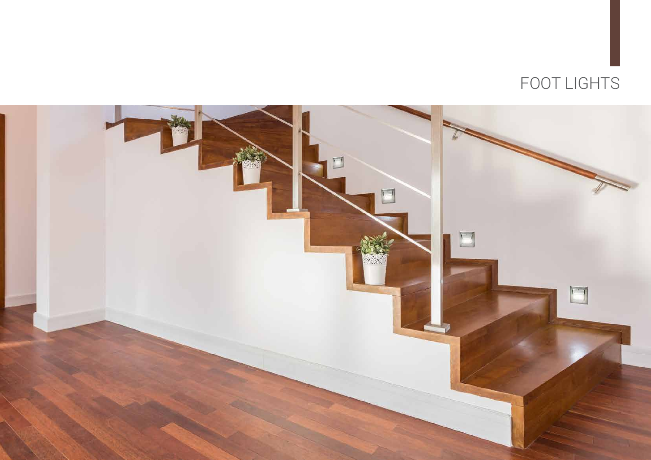

## FOOT LIGHTS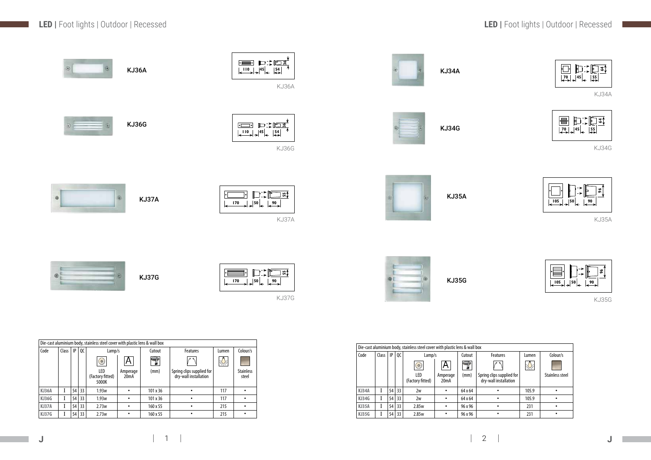|       |       |    |               | Die-cast aluminium body, stainless steel cover with plastic lens & wall box |                               |                 |                                                    |       |                           |
|-------|-------|----|---------------|-----------------------------------------------------------------------------|-------------------------------|-----------------|----------------------------------------------------|-------|---------------------------|
| Code  | Class | IP | <sub>0C</sub> | Lamp/s                                                                      |                               | Cutout          | <b>Features</b>                                    | Lumen | Colour/s                  |
|       |       |    |               | $\sigma$                                                                    |                               | 7               | $\circ$                                            | 头     |                           |
|       |       |    |               | LED<br>(Factory fitted)<br>5000K                                            | Amperage<br>20 <sub>m</sub> A | (mm)            | Spring clips supplied for<br>dry-wall installation |       | <b>Stainless</b><br>steel |
| KJ36A |       | 54 | 33            | 1.93w                                                                       |                               | $101 \times 36$ |                                                    | 117   |                           |
| KJ36G |       | 54 | 33            | 1.93w                                                                       |                               | $101 \times 36$ | ٠                                                  | 117   |                           |
| KJ37A |       | 54 | 33            | 2.73w                                                                       | ٠                             | 160 x 55        | ٠                                                  | 215   |                           |
| KJ37G |       | 54 | 33            | 2.73w                                                                       |                               | 160 x 55        |                                                    | 215   |                           |

**KJ34G I** 54 33 2w • 64 x 64<br> **KJ35A I** 54 33 2.85w • 96 x 96 **KJ35A I 54 33 2.85w • 96 x 96**<br>**KJ35G I 54 33 2.85w • 96 x 96** 

**KJ** 54 33

|       |                 |       |                                                                             | KJ36A                   |                 |                                                                                                  |               |                           | KJ36A                                                                                                                                                                                                                  |       |                            |       |                                                                                                                                                                                                                                                                                                                                                     | KJ34A            |            |                                                                                                  |               |                                                                                                                                                                                                                                                                                                                                                                                                                                                                                          |
|-------|-----------------|-------|-----------------------------------------------------------------------------|-------------------------|-----------------|--------------------------------------------------------------------------------------------------|---------------|---------------------------|------------------------------------------------------------------------------------------------------------------------------------------------------------------------------------------------------------------------|-------|----------------------------|-------|-----------------------------------------------------------------------------------------------------------------------------------------------------------------------------------------------------------------------------------------------------------------------------------------------------------------------------------------------------|------------------|------------|--------------------------------------------------------------------------------------------------|---------------|------------------------------------------------------------------------------------------------------------------------------------------------------------------------------------------------------------------------------------------------------------------------------------------------------------------------------------------------------------------------------------------------------------------------------------------------------------------------------------------|
|       |                 |       |                                                                             | <b>KJ36G</b>            |                 |                                                                                                  |               |                           | $\begin{array}{ c c c c c c c c } \hline \text{} & \text{} & \text{} \\ \hline \text{} & \text{} & \text{} \\ \hline \text{} & \text{} & \text{} \\ \hline \text{} & \text{} & \text{} \\ \hline \end{array}$<br>KJ36G |       |                            |       |                                                                                                                                                                                                                                                                                                                                                     | <b>KJ34G</b>     |            |                                                                                                  |               | $\overline{A}$ $\boxed{\text{min}}$                                                                                                                                                                                                                                                                                                                                                                                                                                                      |
| ۰     |                 |       |                                                                             |                         | KJ37A           |                                                                                                  |               | 170                       | ] ສ‡<br>$\left 50\right  \leftarrow \left 50\right $<br>KJ37A                                                                                                                                                          |       |                            |       |                                                                                                                                                                                                                                                                                                                                                     | <b>KJ35A</b>     |            |                                                                                                  |               | $\overline{\leftarrow}$                                                                                                                                                                                                                                                                                                                                                                                                                                                                  |
|       |                 |       |                                                                             |                         | KJ37G           |                                                                                                  |               | 170                       | ] ສ≬<br>$\left 50\right _{\leftarrow}$ $\left 20\right $<br>KJ37G                                                                                                                                                      |       |                            |       | the property of the contract of the                                                                                                                                                                                                                                                                                                                 | <b>KJ35G</b>     |            |                                                                                                  |               | $\begin{array}{c}\n\hline\n\end{array}\n\qquad\n\begin{array}{c}\n\hline\n\end{array}\n\qquad\n\begin{array}{c}\n\hline\n\end{array}\n\qquad\n\begin{array}{c}\n\hline\n\end{array}\n\qquad\n\begin{array}{c}\n\hline\n\end{array}\n\qquad\n\begin{array}{c}\n\hline\n\end{array}\n\qquad\n\begin{array}{c}\n\hline\n\end{array}\n\qquad\n\begin{array}{c}\n\hline\n\end{array}\n\qquad\n\begin{array}{c}\n\hline\n\end{array}\n\qquad\n\begin{array}{c}\n\hline\n\end{array}\n\qquad\n$ |
|       |                 |       | Die-cast aluminium body, stainless steel cover with plastic lens & wall box |                         |                 |                                                                                                  |               |                           |                                                                                                                                                                                                                        |       |                            |       |                                                                                                                                                                                                                                                                                                                                                     |                  |            |                                                                                                  |               |                                                                                                                                                                                                                                                                                                                                                                                                                                                                                          |
| Code  | Class   IP   QC |       | Lamp/s                                                                      |                         | Cutout          | Features                                                                                         | Lumen         | Colour/s                  |                                                                                                                                                                                                                        | Code  | Class $\boxed{IP \mid QC}$ |       | Die-cast aluminium body, stainless steel cover with plastic lens & wall box<br>Lamp/s                                                                                                                                                                                                                                                               |                  | Cutout     | Features                                                                                         | Lumen         | Colour/s                                                                                                                                                                                                                                                                                                                                                                                                                                                                                 |
|       |                 |       | $\textcircled{\small\bf 1}$                                                 | $\overline{\mathsf{A}}$ | $\bigcirc$      | $\sqrt{ }$                                                                                       | $\frac{1}{2}$ |                           |                                                                                                                                                                                                                        |       |                            |       | $\begin{picture}(120,10) \put(0,0){\line(1,0){10}} \put(15,0){\line(1,0){10}} \put(15,0){\line(1,0){10}} \put(15,0){\line(1,0){10}} \put(15,0){\line(1,0){10}} \put(15,0){\line(1,0){10}} \put(15,0){\line(1,0){10}} \put(15,0){\line(1,0){10}} \put(15,0){\line(1,0){10}} \put(15,0){\line(1,0){10}} \put(15,0){\line(1,0){10}} \put(15,0){\line($ | A                | $\bigcirc$ | $\sqrt{ }$                                                                                       | $\frac{1}{2}$ |                                                                                                                                                                                                                                                                                                                                                                                                                                                                                          |
|       |                 |       | LED<br>(Factory fitted)<br>5000K                                            | Amperage<br>20mA        | (mm)            | $\begin{vmatrix} \text{Spring clips supplied for} \\ \text{dry-wall installation} \end{vmatrix}$ |               | <b>Stainless</b><br>steel |                                                                                                                                                                                                                        |       |                            |       | LED<br>(Factory fitted)                                                                                                                                                                                                                                                                                                                             | Amperage<br>20mA | (mm)       | $\begin{vmatrix} \text{Spring clips supplied for} \\ \text{dry-wall installation} \end{vmatrix}$ |               | Stainless st                                                                                                                                                                                                                                                                                                                                                                                                                                                                             |
| KJ36A | $\mathbf{I}$    | 54 33 | 1.93w                                                                       | $\bullet$               | $101 \times 36$ | $\bullet$                                                                                        | 117           | $\bullet$                 |                                                                                                                                                                                                                        | KJ34A | $\mathbf{I}$               | 54 33 | 2w                                                                                                                                                                                                                                                                                                                                                  | $\bullet$        | 64 x 64    | $\bullet$                                                                                        | 105.9         | $\bullet$                                                                                                                                                                                                                                                                                                                                                                                                                                                                                |
| KJ36G |                 | 54 33 | 1.93w                                                                       | $\bullet$               | 101 x 36        | $\bullet$                                                                                        | 117           | $\bullet$                 |                                                                                                                                                                                                                        | KJ34G |                            | 54 33 | $2w$                                                                                                                                                                                                                                                                                                                                                | $\bullet$        | 64 x 64    | $\bullet$                                                                                        | 105.9         | $\bullet$                                                                                                                                                                                                                                                                                                                                                                                                                                                                                |

KJ34A

KJ34G

KJ35A



KJ35G

| Lumen | Colour/s        |
|-------|-----------------|
|       |                 |
|       | Stainless steel |
| 105.9 |                 |
| 105.9 |                 |
| 231   |                 |
| 231   |                 |
|       |                 |





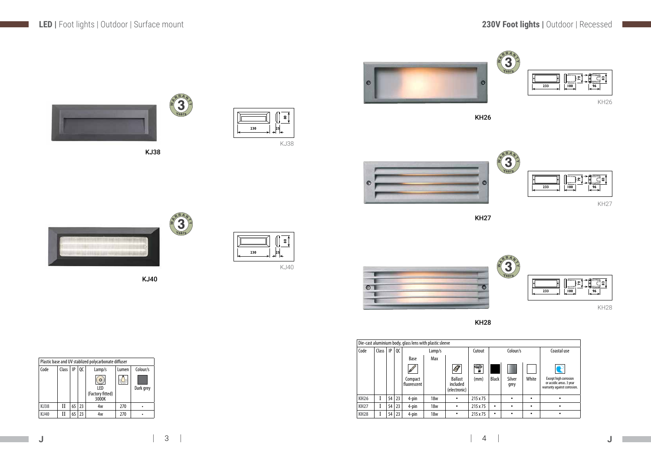

KJ38

KJ40

| Plastic base and UV stablized polycarbonate diffuser |       |       |          |                  |     |           |  |  |  |  |  |  |
|------------------------------------------------------|-------|-------|----------|------------------|-----|-----------|--|--|--|--|--|--|
| Code                                                 | Class | Lumen | Colour/s |                  |     |           |  |  |  |  |  |  |
|                                                      |       |       |          | O                |     |           |  |  |  |  |  |  |
|                                                      |       |       |          | LED              |     | Dark grey |  |  |  |  |  |  |
|                                                      |       |       |          | (Factory fitted) |     |           |  |  |  |  |  |  |
|                                                      |       |       |          | 3000K            |     |           |  |  |  |  |  |  |
| <b>KJ38</b>                                          | Н     | 65    | 23       | 4w               | 270 |           |  |  |  |  |  |  |
| KJ40                                                 |       | 65    | 23       | 4w               | 270 |           |  |  |  |  |  |  |



**230**

**80**

 $\overline{25}$ 



|     | ຘ               |
|-----|-----------------|
| 230 | ←               |
|     | <b>Contract</b> |

KJ38

RRAN

KJ40

KH26

KH28

|             | Die-cast aluminium body, glass lens with plastic sleeve |    |    |                          |                          |                          |          |              |                |       |                                                                                  |  |  |  |
|-------------|---------------------------------------------------------|----|----|--------------------------|--------------------------|--------------------------|----------|--------------|----------------|-------|----------------------------------------------------------------------------------|--|--|--|
| Code        | Class                                                   | IP | QC |                          | Lamp/s                   |                          | Cutout   |              | Colour/s       |       | Coastal use                                                                      |  |  |  |
|             |                                                         |    |    | Base                     | Max                      |                          |          |              |                |       |                                                                                  |  |  |  |
|             |                                                         |    |    | $\overline{\mathscr{P}}$ |                          | $\overline{\mathcal{S}}$ | 7        |              |                |       | ${\bf P}$                                                                        |  |  |  |
|             |                                                         |    |    | Compact<br>fluorescent   | included<br>(electronic) |                          | (mm)     | <b>Black</b> | Silver<br>grey | White | Except high corrosion<br>or accidic areas. 3 year<br>warranty against corrosion. |  |  |  |
| <b>KH26</b> |                                                         | 54 | 23 | 4-pin                    | 18w                      | ٠                        | 215 x 75 |              |                | ٠     |                                                                                  |  |  |  |
| <b>KH27</b> |                                                         | 54 | 23 | 4-pin                    | 18w                      | ٠                        | 215 x 75 | ٠            |                | ٠     |                                                                                  |  |  |  |
| <b>KH28</b> |                                                         | 54 | 23 | 4-pin                    | <b>18w</b>               | ٠                        | 215 x 75 | $\bullet$    |                | ٠     |                                                                                  |  |  |  |







KH26



KH27



KH28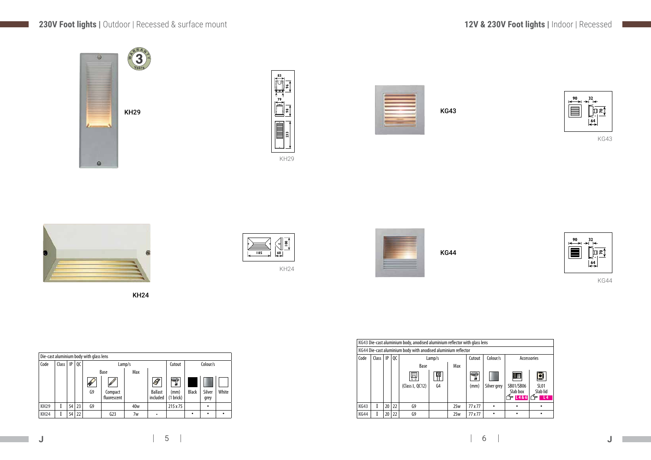|             | Die-cast aluminium body with glass lens |    |    |    |                              |                 |                            |                            |              |                |           |  |  |  |
|-------------|-----------------------------------------|----|----|----|------------------------------|-----------------|----------------------------|----------------------------|--------------|----------------|-----------|--|--|--|
| Code        | Class                                   | IP | QC |    | Colour/s<br>Cutout<br>Lamp/s |                 |                            |                            |              |                |           |  |  |  |
|             |                                         |    |    |    | Base                         | Max             |                            |                            |              |                |           |  |  |  |
|             |                                         |    |    | R  | $\mathscr{B}$                |                 | $\mathscr G$               | 7                          |              |                |           |  |  |  |
|             |                                         |    |    | G9 | Compact<br>fluorescent       |                 | <b>Ballast</b><br>included | (mm)<br>(1 b <i>rick</i> ) | <b>Black</b> | Silver<br>grey | White     |  |  |  |
| <b>KH29</b> |                                         | 54 | 23 | G9 |                              | 40 <sub>w</sub> |                            | 215 x 75                   |              | ٠              |           |  |  |  |
| <b>KH24</b> |                                         | 54 | 22 |    | G <sub>23</sub>              | 7w              | ٠                          |                            | ٠            | $\bullet$      | $\bullet$ |  |  |  |











KH24

|             |       |    |    | KG43 Die-cast aluminium body, anodised aluminium reflector with glass lens |        |     |         |             |                               |                         |
|-------------|-------|----|----|----------------------------------------------------------------------------|--------|-----|---------|-------------|-------------------------------|-------------------------|
|             |       |    |    | KG44 Die-cast aluminium body with anodised aluminium reflector             |        |     |         |             |                               |                         |
| Code        | Class | IP | QC |                                                                            | Lamp/s |     | Cutout  | Colour/s    | Accessories                   |                         |
|             |       |    |    | Base                                                                       |        | Max |         |             |                               |                         |
|             |       |    |    |                                                                            | 呬      |     | Д       |             | ▩                             | ╓⋘<br>$\frac{1}{4000}$  |
|             |       |    |    | (Class I, QC12)                                                            | G4     |     | (mm)    | Silver grey | SB01/SB06<br>Slab box<br>L486 | SL <sub>0</sub><br>Slab |
| <b>KG43</b> |       | 20 | 22 | G9                                                                         |        | 25w | 77 x 77 |             |                               |                         |
| <b>KG44</b> |       | 20 | 22 | G9                                                                         |        | 25w | 77 x 77 |             |                               |                         |



KG43



KG43





KG44

KG44